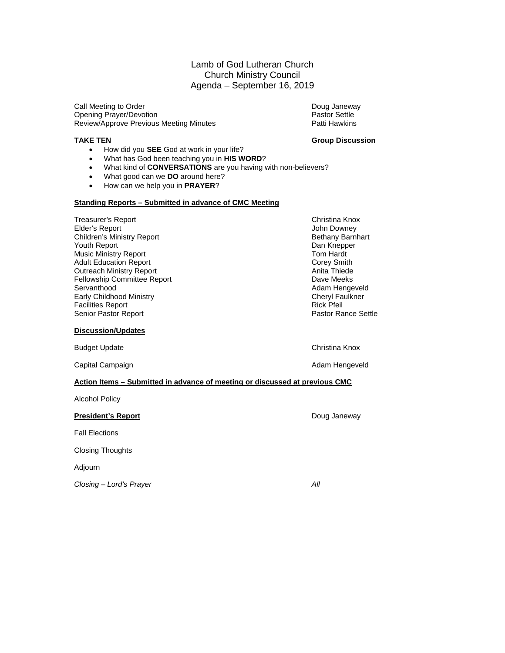#### Lamb of God Lutheran Church Church Ministry Council Agenda – September 16, 2019

Call Meeting to Order Doug Janeway Opening Prayer/Devotion and Decision of Device of Pastor Settle Terms of Pastor Settle Terms and Pastor Settle<br>Review/Approve Previous Meeting Minutes and Pastor Settle Patti Hawkins Review/Approve Previous Meeting Minutes

#### **TAKE TEN Group Discussion**

- How did you **SEE** God at work in your life?
- What has God been teaching you in **HIS WORD**?
- What kind of **CONVERSATIONS** are you having with non-believers?
- What good can we **DO** around here?
- How can we help you in **PRAYER**?

#### **Standing Reports – Submitted in advance of CMC Meeting**

Treasurer's Report Christina Knox Elder's Report<br>
Children's Ministry Report (Children's Ministry Report of The Children's Ministry Report of The Children's Ministry<br>
Children's Ministry Report (Children's Section 1999) Children's Ministry Report **Bethany Barnhart Bethany Barnhart Bethany Barn**<br>Pouth Report Bethany Barnhart Bethany Barnhart Bethany Barnhart Bethany Barnhart Bethany Barnhart Bethany Barn<br>Bethany Barnhart Bethany Barnhart B Youth Report **Dan Knepper September 2018**<br>Music Ministry Report **Dan Knepper September 2018** Music Ministry Report **Tom Hardt** Adult Education Report **Tom Hardt** Adult Education Report **Tom Hardt** Adult Education Report **Corey Smith Corey Smith Corey Smith**<br>
Outreach Ministry Report Corey Smith Corey Smith Corey Smith Corey Smith Corey Smith Outreach Ministry Report **Anita Thiede**<br> **Pellowship Committee Report** Anita Thiede Anita Thiede Fellowship Committee Report Fellowship Committee Report<br>Servanthood Early Childhood Ministry **Cheryl Faultion Cheryl Faultion**<br>Facilities Report **Cheryl Faultion** Facilities Report **Facilities Report Rick Pfeil**<br>
Senior Pastor Report **Rick Pfeil**<br>
Rick Pfeil<br>
Pastor Rance Settle Senior Pastor Report

#### **Discussion/Updates**

Budget Update Christina Knox Christina Knox Christina Knox Christina Knox Christina Knox

Capital Campaign **Adam Hengeveld Capital Campaign Adam Hengeveld** 

Adam Hengeveld<br>Cheryl Faulkner

#### **Action Items – Submitted in advance of meeting or discussed at previous CMC**

Alcohol Policy

#### **President's Report Doug Janeway** Doug Janeway

Fall Elections

Closing Thoughts

Adjourn

*Closing – Lord's Prayer All*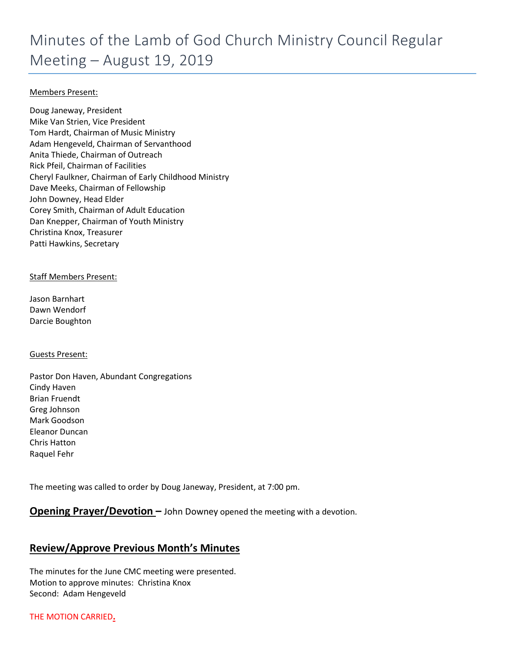#### Members Present:

Doug Janeway, President Mike Van Strien, Vice President Tom Hardt, Chairman of Music Ministry Adam Hengeveld, Chairman of Servanthood Anita Thiede, Chairman of Outreach Rick Pfeil, Chairman of Facilities Cheryl Faulkner, Chairman of Early Childhood Ministry Dave Meeks, Chairman of Fellowship John Downey, Head Elder Corey Smith, Chairman of Adult Education Dan Knepper, Chairman of Youth Ministry Christina Knox, Treasurer Patti Hawkins, Secretary

#### Staff Members Present:

Jason Barnhart Dawn Wendorf Darcie Boughton

#### Guests Present:

Pastor Don Haven, Abundant Congregations Cindy Haven Brian Fruendt Greg Johnson Mark Goodson Eleanor Duncan Chris Hatton Raquel Fehr

The meeting was called to order by Doug Janeway, President, at 7:00 pm.

#### **Opening Prayer/Devotion –** John Downey opened the meeting with a devotion.

### **Review/Approve Previous Month's Minutes**

The minutes for the June CMC meeting were presented. Motion to approve minutes: Christina Knox Second: Adam Hengeveld

THE MOTION CARRIED**.**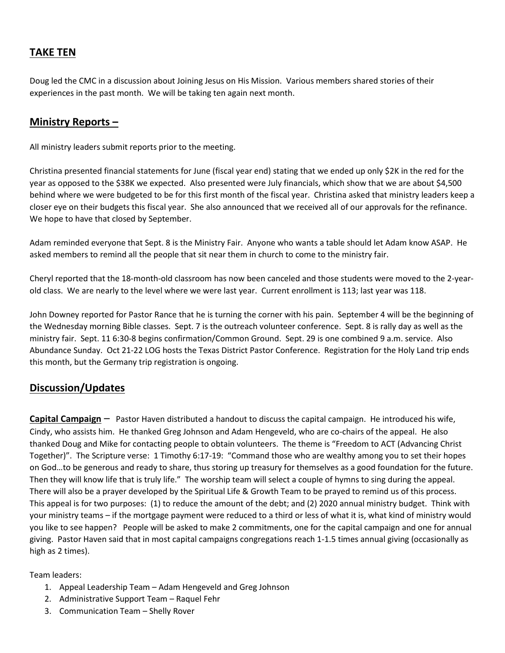### **TAKE TEN**

Doug led the CMC in a discussion about Joining Jesus on His Mission. Various members shared stories of their experiences in the past month. We will be taking ten again next month.

#### **Ministry Reports –**

All ministry leaders submit reports prior to the meeting.

Christina presented financial statements for June (fiscal year end) stating that we ended up only \$2K in the red for the year as opposed to the \$38K we expected. Also presented were July financials, which show that we are about \$4,500 behind where we were budgeted to be for this first month of the fiscal year. Christina asked that ministry leaders keep a closer eye on their budgets this fiscal year. She also announced that we received all of our approvals for the refinance. We hope to have that closed by September.

Adam reminded everyone that Sept. 8 is the Ministry Fair. Anyone who wants a table should let Adam know ASAP. He asked members to remind all the people that sit near them in church to come to the ministry fair.

Cheryl reported that the 18-month-old classroom has now been canceled and those students were moved to the 2-yearold class. We are nearly to the level where we were last year. Current enrollment is 113; last year was 118.

John Downey reported for Pastor Rance that he is turning the corner with his pain. September 4 will be the beginning of the Wednesday morning Bible classes. Sept. 7 is the outreach volunteer conference. Sept. 8 is rally day as well as the ministry fair. Sept. 11 6:30-8 begins confirmation/Common Ground. Sept. 29 is one combined 9 a.m. service. Also Abundance Sunday. Oct 21-22 LOG hosts the Texas District Pastor Conference. Registration for the Holy Land trip ends this month, but the Germany trip registration is ongoing.

### **Discussion/Updates**

**Capital Campaign** – Pastor Haven distributed a handout to discuss the capital campaign. He introduced his wife, Cindy, who assists him. He thanked Greg Johnson and Adam Hengeveld, who are co-chairs of the appeal. He also thanked Doug and Mike for contacting people to obtain volunteers. The theme is "Freedom to ACT (Advancing Christ Together)". The Scripture verse: 1 Timothy 6:17-19: "Command those who are wealthy among you to set their hopes on God…to be generous and ready to share, thus storing up treasury for themselves as a good foundation for the future. Then they will know life that is truly life." The worship team will select a couple of hymns to sing during the appeal. There will also be a prayer developed by the Spiritual Life & Growth Team to be prayed to remind us of this process. This appeal is for two purposes: (1) to reduce the amount of the debt; and (2) 2020 annual ministry budget. Think with your ministry teams – if the mortgage payment were reduced to a third or less of what it is, what kind of ministry would you like to see happen? People will be asked to make 2 commitments, one for the capital campaign and one for annual giving. Pastor Haven said that in most capital campaigns congregations reach 1-1.5 times annual giving (occasionally as high as 2 times).

Team leaders:

- 1. Appeal Leadership Team Adam Hengeveld and Greg Johnson
- 2. Administrative Support Team Raquel Fehr
- 3. Communication Team Shelly Rover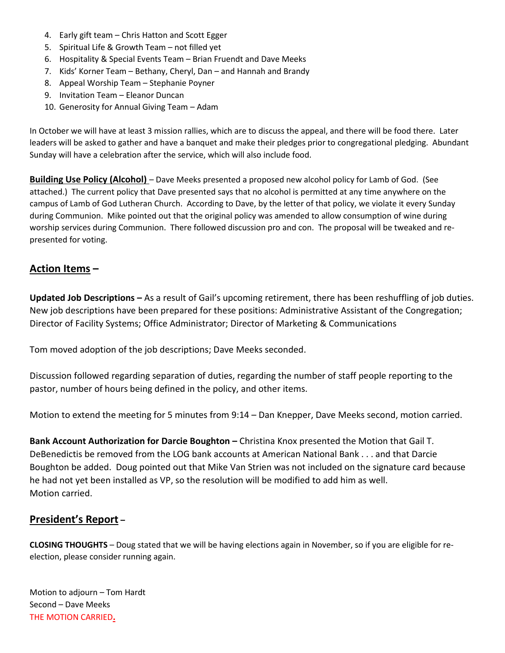- 4. Early gift team Chris Hatton and Scott Egger
- 5. Spiritual Life & Growth Team not filled yet
- 6. Hospitality & Special Events Team Brian Fruendt and Dave Meeks
- 7. Kids' Korner Team Bethany, Cheryl, Dan and Hannah and Brandy
- 8. Appeal Worship Team Stephanie Poyner
- 9. Invitation Team Eleanor Duncan
- 10. Generosity for Annual Giving Team Adam

In October we will have at least 3 mission rallies, which are to discuss the appeal, and there will be food there. Later leaders will be asked to gather and have a banquet and make their pledges prior to congregational pledging. Abundant Sunday will have a celebration after the service, which will also include food.

**Building Use Policy (Alcohol)** – Dave Meeks presented a proposed new alcohol policy for Lamb of God. (See attached.) The current policy that Dave presented says that no alcohol is permitted at any time anywhere on the campus of Lamb of God Lutheran Church. According to Dave, by the letter of that policy, we violate it every Sunday during Communion. Mike pointed out that the original policy was amended to allow consumption of wine during worship services during Communion. There followed discussion pro and con. The proposal will be tweaked and represented for voting.

#### **Action Items –**

**Updated Job Descriptions –** As a result of Gail's upcoming retirement, there has been reshuffling of job duties. New job descriptions have been prepared for these positions: Administrative Assistant of the Congregation; Director of Facility Systems; Office Administrator; Director of Marketing & Communications

Tom moved adoption of the job descriptions; Dave Meeks seconded.

Discussion followed regarding separation of duties, regarding the number of staff people reporting to the pastor, number of hours being defined in the policy, and other items.

Motion to extend the meeting for 5 minutes from 9:14 – Dan Knepper, Dave Meeks second, motion carried.

**Bank Account Authorization for Darcie Boughton –** Christina Knox presented the Motion that Gail T. DeBenedictis be removed from the LOG bank accounts at American National Bank . . . and that Darcie Boughton be added. Doug pointed out that Mike Van Strien was not included on the signature card because he had not yet been installed as VP, so the resolution will be modified to add him as well. Motion carried.

#### **President's Report –**

**CLOSING THOUGHTS** – Doug stated that we will be having elections again in November, so if you are eligible for reelection, please consider running again.

Motion to adjourn – Tom Hardt Second – Dave Meeks THE MOTION CARRIED**.**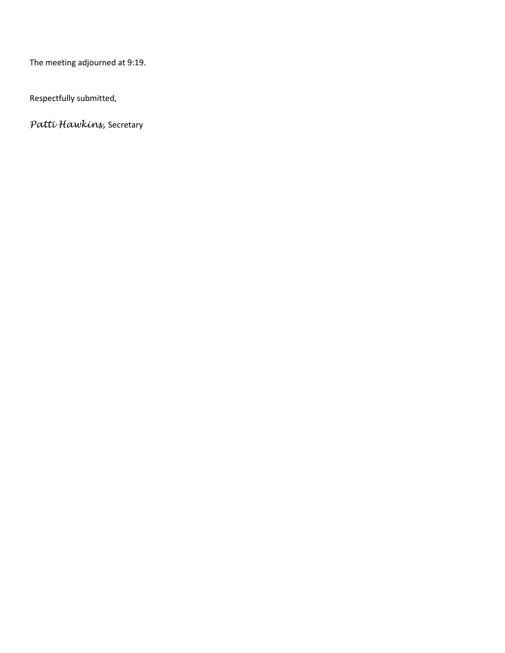The meeting adjourned at 9:19.

Respectfully submitted,

*Patti Hawkins,* Secretary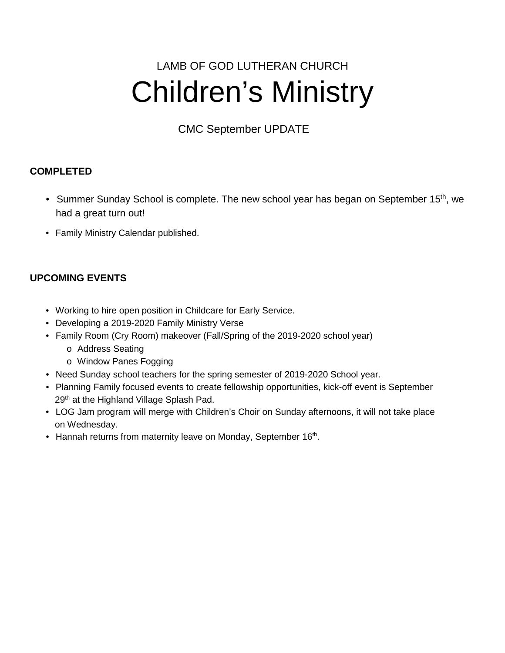# LAMB OF GOD LUTHERAN CHURCH Children's Ministry

CMC September UPDATE

## **COMPLETED**

- Summer Sunday School is complete. The new school year has began on September 15<sup>th</sup>, we had a great turn out!
- Family Ministry Calendar published.

## **UPCOMING EVENTS**

- Working to hire open position in Childcare for Early Service.
- Developing a 2019-2020 Family Ministry Verse
- Family Room (Cry Room) makeover (Fall/Spring of the 2019-2020 school year)
	- o Address Seating
	- o Window Panes Fogging
- Need Sunday school teachers for the spring semester of 2019-2020 School year.
- Planning Family focused events to create fellowship opportunities, kick-off event is September 29<sup>th</sup> at the Highland Village Splash Pad.
- LOG Jam program will merge with Children's Choir on Sunday afternoons, it will not take place on Wednesday.
- Hannah returns from maternity leave on Monday, September 16<sup>th</sup>.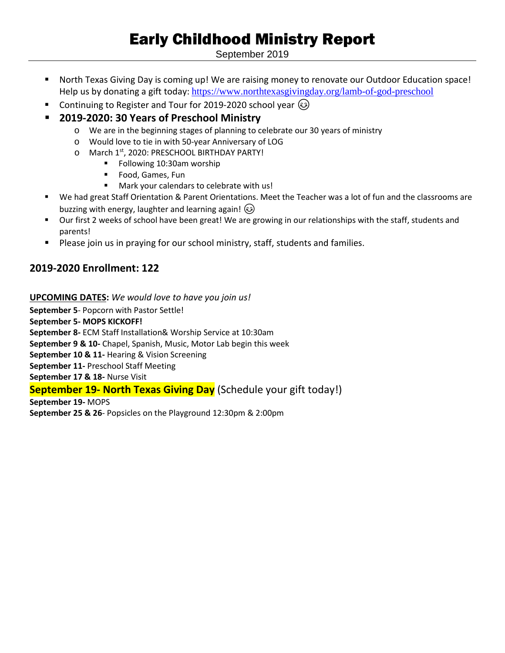## Early Childhood Ministry Report

September 2019

- North Texas Giving Day is coming up! We are raising money to renovate our Outdoor Education space! Help us by donating a gift today: <https://www.northtexasgivingday.org/lamb-of-god-preschool>
- Continuing to Register and Tour for 2019-2020 school year  $\odot$
- **2019-2020: 30 Years of Preschool Ministry**
	- o We are in the beginning stages of planning to celebrate our 30 years of ministry
	- o Would love to tie in with 50-year Anniversary of LOG
	- o March 1st, 2020: PRESCHOOL BIRTHDAY PARTY!
		- **Following 10:30am worship**
		- **Food, Games, Fun**
		- Mark your calendars to celebrate with us!
- We had great Staff Orientation & Parent Orientations. Meet the Teacher was a lot of fun and the classrooms are buzzing with energy, laughter and learning again!  $\circledS$
- Our first 2 weeks of school have been great! We are growing in our relationships with the staff, students and parents!
- **Please join us in praying for our school ministry, staff, students and families.**

## **2019-2020 Enrollment: 122**

#### **UPCOMING DATES:** *We would love to have you join us!*

**September 5**- Popcorn with Pastor Settle! **September 5- MOPS KICKOFF! September 8-** ECM Staff Installation& Worship Service at 10:30am **September 9 & 10-** Chapel, Spanish, Music, Motor Lab begin this week **September 10 & 11-** Hearing & Vision Screening **September 11-** Preschool Staff Meeting **September 17 & 18-** Nurse Visit

### **September 19- North Texas Giving Day** (Schedule your gift today!)

**September 19-** MOPS **September 25 & 26**- Popsicles on the Playground 12:30pm & 2:00pm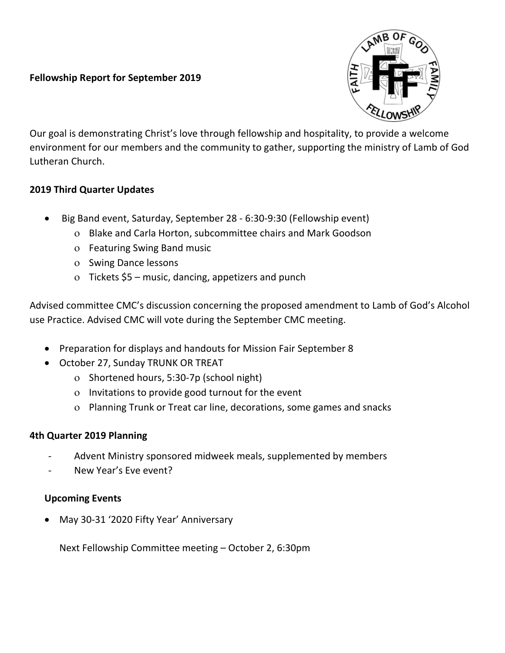### **Fellowship Report for September 2019**



Our goal is demonstrating Christ's love through fellowship and hospitality, to provide a welcome environment for our members and the community to gather, supporting the ministry of Lamb of God Lutheran Church.

### **2019 Third Quarter Updates**

- Big Band event, Saturday, September 28 6:30-9:30 (Fellowship event)
	- ο Blake and Carla Horton, subcommittee chairs and Mark Goodson
	- ο Featuring Swing Band music
	- ο Swing Dance lessons
	- ο Tickets \$5 music, dancing, appetizers and punch

Advised committee CMC's discussion concerning the proposed amendment to Lamb of God's Alcohol use Practice. Advised CMC will vote during the September CMC meeting.

- Preparation for displays and handouts for Mission Fair September 8
- October 27, Sunday TRUNK OR TREAT
	- ο Shortened hours, 5:30-7p (school night)
	- ο Invitations to provide good turnout for the event
	- ο Planning Trunk or Treat car line, decorations, some games and snacks

### **4th Quarter 2019 Planning**

- Advent Ministry sponsored midweek meals, supplemented by members
- New Year's Eve event?

## **Upcoming Events**

• May 30-31 '2020 Fifty Year' Anniversary

Next Fellowship Committee meeting – October 2, 6:30pm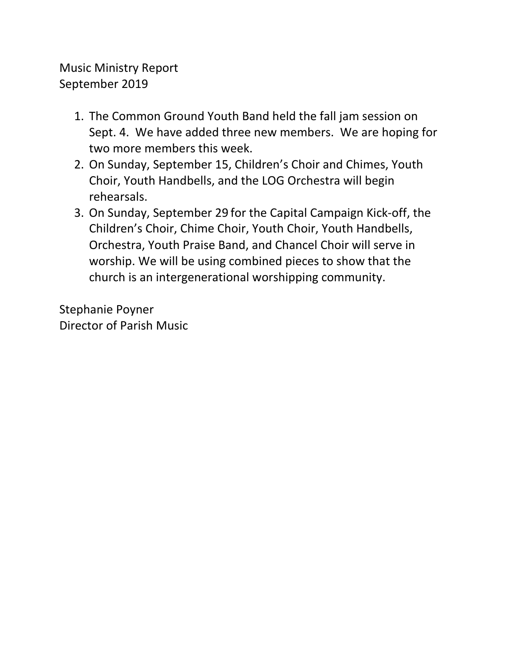## Music Ministry Report September 2019

- 1. The Common Ground Youth Band held the fall jam session on Sept. 4. We have added three new members. We are hoping for two more members this week.
- 2. On Sunday, September 15, Children's Choir and Chimes, Youth Choir, Youth Handbells, and the LOG Orchestra will begin rehearsals.
- 3. On Sunday, September 29 for the Capital Campaign Kick-off, the Children's Choir, Chime Choir, Youth Choir, Youth Handbells, Orchestra, Youth Praise Band, and Chancel Choir will serve in worship. We will be using combined pieces to show that the church is an intergenerational worshipping community.

Stephanie Poyner Director of Parish Music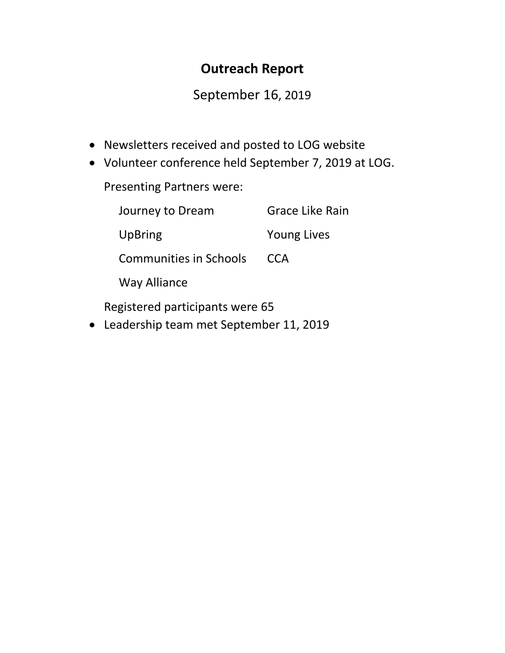## **Outreach Report**

## September 16, 2019

- Newsletters received and posted to LOG website
- Volunteer conference held September 7, 2019 at LOG.

Presenting Partners were:

| Journey to Dream               | <b>Grace Like Rain</b> |
|--------------------------------|------------------------|
| UpBring                        | <b>Young Lives</b>     |
| <b>Communities in Schools</b>  | <b>CCA</b>             |
| <b>Way Alliance</b>            |                        |
| agistanad pantisipanta wana CE |                        |

Registered participants were 65

• Leadership team met September 11, 2019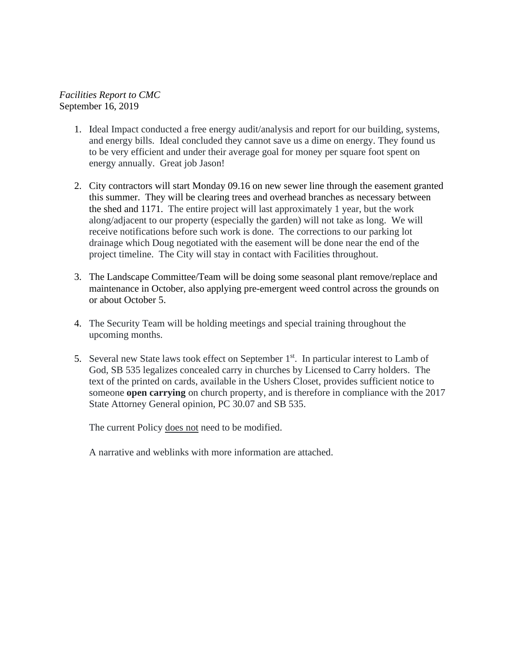#### *Facilities Report to CMC* September 16, 2019

- 1. Ideal Impact conducted a free energy audit/analysis and report for our building, systems, and energy bills. Ideal concluded they cannot save us a dime on energy. They found us to be very efficient and under their average goal for money per square foot spent on energy annually. Great job Jason!
- 2. City contractors will start Monday 09.16 on new sewer line through the easement granted this summer. They will be clearing trees and overhead branches as necessary between the shed and 1171. The entire project will last approximately 1 year, but the work along/adjacent to our property (especially the garden) will not take as long. We will receive notifications before such work is done. The corrections to our parking lot drainage which Doug negotiated with the easement will be done near the end of the project timeline. The City will stay in contact with Facilities throughout.
- 3. The Landscape Committee/Team will be doing some seasonal plant remove/replace and maintenance in October, also applying pre-emergent weed control across the grounds on or about October 5.
- 4. The Security Team will be holding meetings and special training throughout the upcoming months.
- 5. Several new State laws took effect on September 1<sup>st</sup>. In particular interest to Lamb of God, SB 535 legalizes concealed carry in churches by Licensed to Carry holders. The text of the printed on cards, available in the Ushers Closet, provides sufficient notice to someone **open carrying** on church property, and is therefore in compliance with the 2017 State Attorney General opinion, PC 30.07 and SB 535.

The current Policy does not need to be modified.

A narrative and weblinks with more information are attached.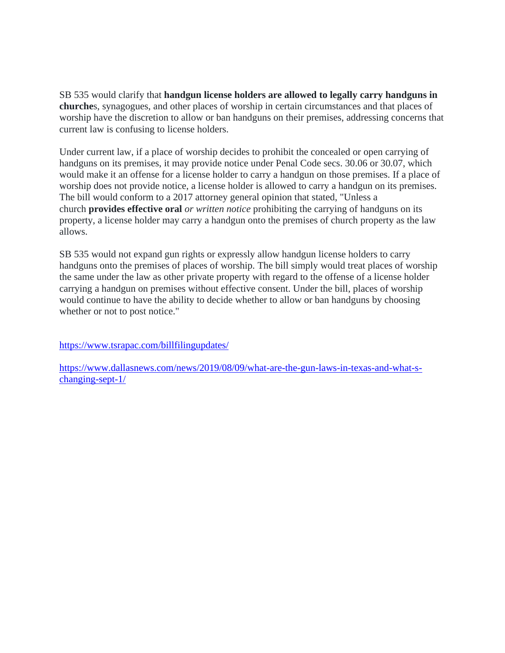SB 535 would clarify that **handgun license holders are allowed to legally carry handguns in churche**s, synagogues, and other places of worship in certain circumstances and that places of worship have the discretion to allow or ban handguns on their premises, addressing concerns that current law is confusing to license holders.

Under current law, if a place of worship decides to prohibit the concealed or open carrying of handguns on its premises, it may provide notice under Penal Code secs. 30.06 or 30.07, which would make it an offense for a license holder to carry a handgun on those premises. If a place of worship does not provide notice, a license holder is allowed to carry a handgun on its premises. The bill would conform to a 2017 attorney general opinion that stated, "Unless a church **provides effective oral** *or written notice* prohibiting the carrying of handguns on its property, a license holder may carry a handgun onto the premises of church property as the law allows.

SB 535 would not expand gun rights or expressly allow handgun license holders to carry handguns onto the premises of places of worship. The bill simply would treat places of worship the same under the law as other private property with regard to the offense of a license holder carrying a handgun on premises without effective consent. Under the bill, places of worship would continue to have the ability to decide whether to allow or ban handguns by choosing whether or not to post notice."

<https://www.tsrapac.com/billfilingupdates/>

[https://www.dallasnews.com/news/2019/08/09/what-are-the-gun-laws-in-texas-and-what-s](https://www.dallasnews.com/news/2019/08/09/what-are-the-gun-laws-in-texas-and-what-s-changing-sept-1/)[changing-sept-1/](https://www.dallasnews.com/news/2019/08/09/what-are-the-gun-laws-in-texas-and-what-s-changing-sept-1/)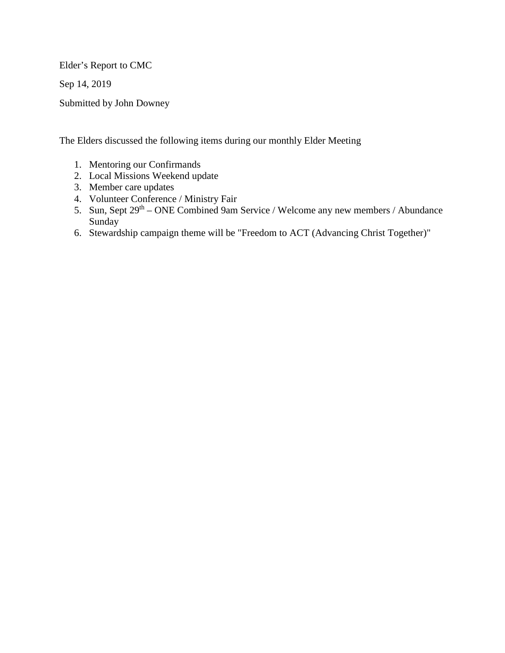Elder's Report to CMC

Sep 14, 2019

Submitted by John Downey

The Elders discussed the following items during our monthly Elder Meeting

- 1. Mentoring our Confirmands
- 2. Local Missions Weekend update
- 3. Member care updates
- 4. Volunteer Conference / Ministry Fair
- 5. Sun, Sept 29th ONE Combined 9am Service / Welcome any new members / Abundance Sunday
- 6. Stewardship campaign theme will be "Freedom to ACT (Advancing Christ Together)"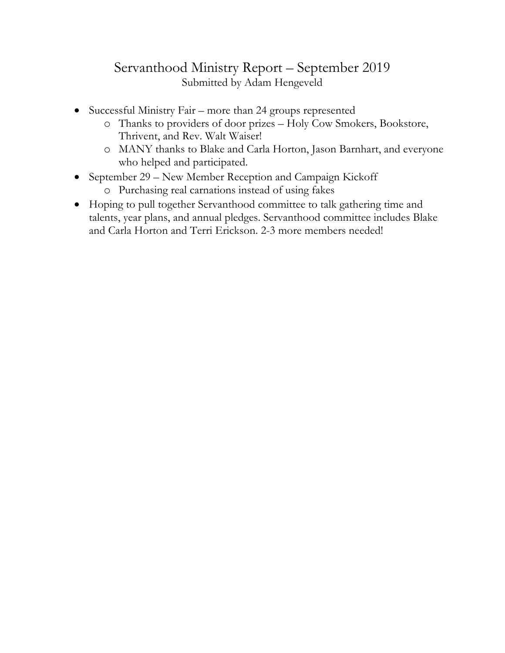## Servanthood Ministry Report – September 2019 Submitted by Adam Hengeveld

- Successful Ministry Fair more than 24 groups represented
	- o Thanks to providers of door prizes Holy Cow Smokers, Bookstore, Thrivent, and Rev. Walt Waiser!
	- o MANY thanks to Blake and Carla Horton, Jason Barnhart, and everyone who helped and participated.
- September 29 New Member Reception and Campaign Kickoff
	- o Purchasing real carnations instead of using fakes
- Hoping to pull together Servanthood committee to talk gathering time and talents, year plans, and annual pledges. Servanthood committee includes Blake and Carla Horton and Terri Erickson. 2-3 more members needed!